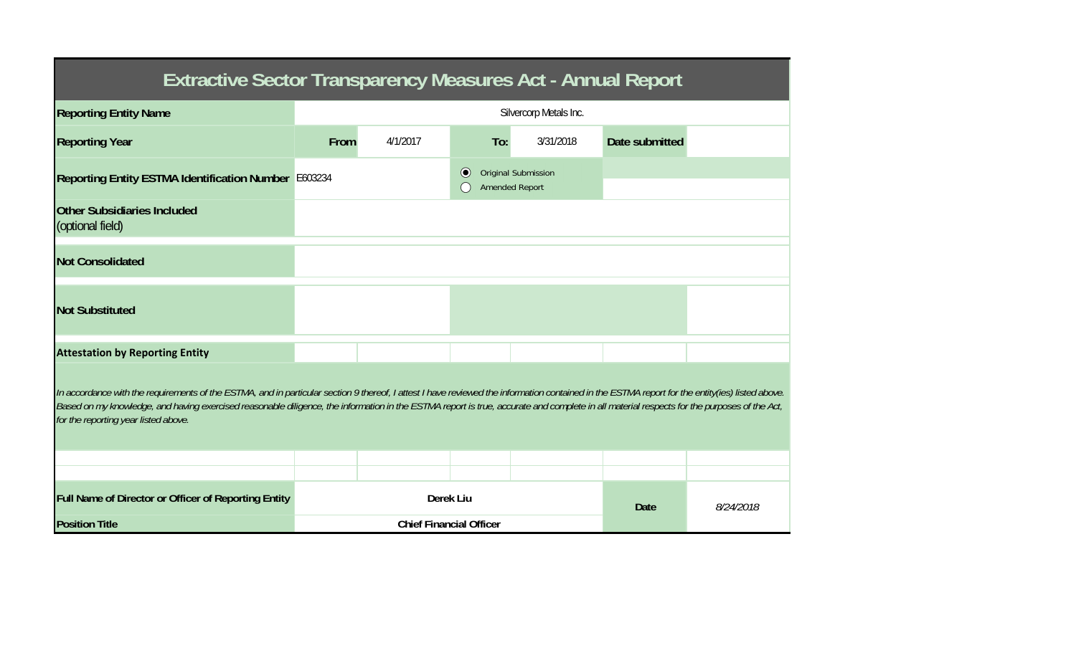| <b>Extractive Sector Transparency Measures Act - Annual Report</b>                                                                                                                                                                                                                                                                                                                                                                    |                        |                                |             |                                                     |                |  |  |  |  |  |  |
|---------------------------------------------------------------------------------------------------------------------------------------------------------------------------------------------------------------------------------------------------------------------------------------------------------------------------------------------------------------------------------------------------------------------------------------|------------------------|--------------------------------|-------------|-----------------------------------------------------|----------------|--|--|--|--|--|--|
| <b>Reporting Entity Name</b>                                                                                                                                                                                                                                                                                                                                                                                                          | Silvercorp Metals Inc. |                                |             |                                                     |                |  |  |  |  |  |  |
| <b>Reporting Year</b>                                                                                                                                                                                                                                                                                                                                                                                                                 | From                   | 4/1/2017                       | To:         | 3/31/2018                                           | Date submitted |  |  |  |  |  |  |
| Reporting Entity ESTMA Identification Number E603234                                                                                                                                                                                                                                                                                                                                                                                  |                        |                                | $\odot$     | <b>Original Submission</b><br><b>Amended Report</b> |                |  |  |  |  |  |  |
| <b>Other Subsidiaries Included</b><br>(optional field)                                                                                                                                                                                                                                                                                                                                                                                |                        |                                |             |                                                     |                |  |  |  |  |  |  |
| <b>Not Consolidated</b>                                                                                                                                                                                                                                                                                                                                                                                                               |                        |                                |             |                                                     |                |  |  |  |  |  |  |
| <b>Not Substituted</b>                                                                                                                                                                                                                                                                                                                                                                                                                |                        |                                |             |                                                     |                |  |  |  |  |  |  |
| <b>Attestation by Reporting Entity</b>                                                                                                                                                                                                                                                                                                                                                                                                |                        |                                |             |                                                     |                |  |  |  |  |  |  |
| In accordance with the requirements of the ESTMA, and in particular section 9 thereof, I attest I have reviewed the information contained in the ESTMA report for the entity(ies) listed above.<br>Based on my knowledge, and having exercised reasonable diligence, the information in the ESTMA report is true, accurate and complete in all material respects for the purposes of the Act,<br>for the reporting year listed above. |                        |                                |             |                                                     |                |  |  |  |  |  |  |
|                                                                                                                                                                                                                                                                                                                                                                                                                                       |                        |                                |             |                                                     |                |  |  |  |  |  |  |
| Full Name of Director or Officer of Reporting Entity                                                                                                                                                                                                                                                                                                                                                                                  |                        | Derek Liu                      | <b>Date</b> | 8/24/2018                                           |                |  |  |  |  |  |  |
| <b>Position Title</b>                                                                                                                                                                                                                                                                                                                                                                                                                 |                        | <b>Chief Financial Officer</b> |             |                                                     |                |  |  |  |  |  |  |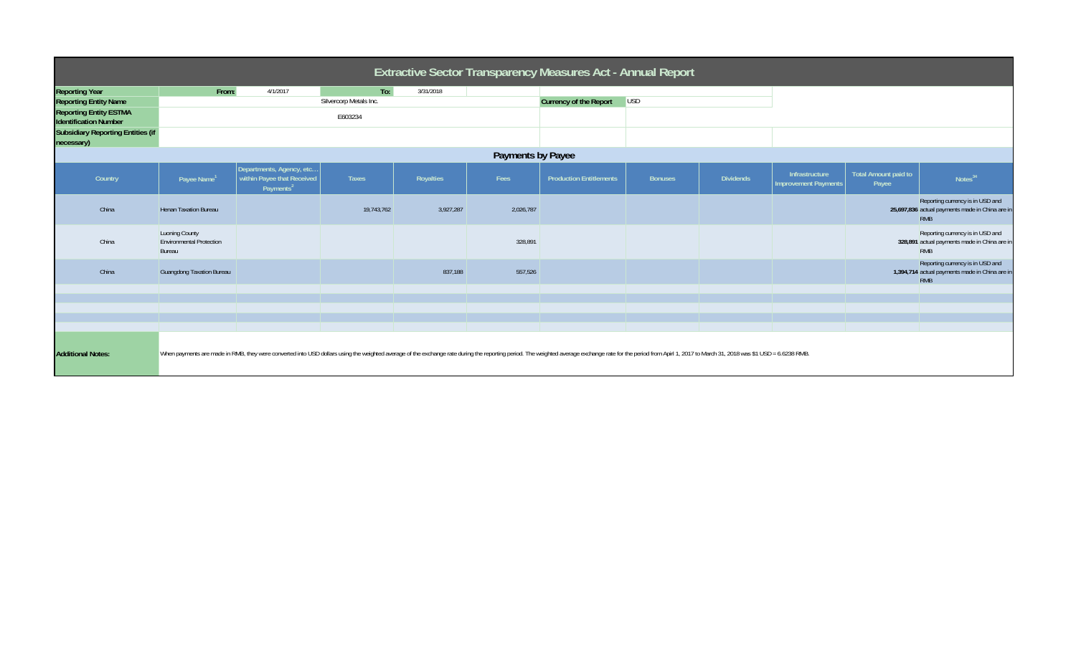| Extractive Sector Transparency Measures Act - Annual Report   |                                                             |                                                                                                                                                                                                                                |                        |           |           |                                |                |                  |                                               |                                      |                                                                                                   |
|---------------------------------------------------------------|-------------------------------------------------------------|--------------------------------------------------------------------------------------------------------------------------------------------------------------------------------------------------------------------------------|------------------------|-----------|-----------|--------------------------------|----------------|------------------|-----------------------------------------------|--------------------------------------|---------------------------------------------------------------------------------------------------|
| <b>Reporting Year</b>                                         | From:                                                       | 4/1/2017                                                                                                                                                                                                                       | To:                    | 3/31/2018 |           |                                |                |                  |                                               |                                      |                                                                                                   |
| <b>Reporting Entity Name</b>                                  |                                                             |                                                                                                                                                                                                                                | Silvercorp Metals Inc. |           |           | Currency of the Report         | <b>USD</b>     |                  |                                               |                                      |                                                                                                   |
| <b>Reporting Entity ESTMA</b><br><b>Identification Number</b> |                                                             |                                                                                                                                                                                                                                | E603234                |           |           |                                |                |                  |                                               |                                      |                                                                                                   |
| <b>Subsidiary Reporting Entities (if</b><br>necessary)        |                                                             |                                                                                                                                                                                                                                |                        |           |           |                                |                |                  |                                               |                                      |                                                                                                   |
| Payments by Payee                                             |                                                             |                                                                                                                                                                                                                                |                        |           |           |                                |                |                  |                                               |                                      |                                                                                                   |
| Country                                                       | Payee Name <sup>1</sup>                                     | Departments, Agency, etc<br>within Payee that Received<br>Payments <sup>2</sup>                                                                                                                                                | Taxes                  | Royalties | Fees      | <b>Production Entitlements</b> | <b>Bonuses</b> | <b>Dividends</b> | Infrastructure<br><b>Improvement Payments</b> | <b>Total Amount paid to</b><br>Payee | Notes <sup>34</sup>                                                                               |
| China                                                         | <b>Henan Taxation Bureau</b>                                |                                                                                                                                                                                                                                | 19,743,762             | 3,927,287 | 2,026,787 |                                |                |                  |                                               |                                      | Reporting currency is in USD and<br>25,697,836 actual payments made in China are in<br><b>RMB</b> |
| China                                                         | Luoning County<br><b>Environmental Protection</b><br>Bureau |                                                                                                                                                                                                                                |                        |           | 328,891   |                                |                |                  |                                               |                                      | Reporting currency is in USD and<br>328,891 actual payments made in China are in<br><b>RMB</b>    |
| China                                                         | <b>Guangdong Taxation Bureau</b>                            |                                                                                                                                                                                                                                |                        | 837,188   | 557,526   |                                |                |                  |                                               |                                      | Reporting currency is in USD and<br>1,394,714 actual payments made in China are in<br><b>RMB</b>  |
|                                                               |                                                             |                                                                                                                                                                                                                                |                        |           |           |                                |                |                  |                                               |                                      |                                                                                                   |
|                                                               |                                                             |                                                                                                                                                                                                                                |                        |           |           |                                |                |                  |                                               |                                      |                                                                                                   |
|                                                               |                                                             |                                                                                                                                                                                                                                |                        |           |           |                                |                |                  |                                               |                                      |                                                                                                   |
| <b>Additional Notes:</b>                                      |                                                             | When payments are made in RMB, they were converted into USD dollars using the weighted average of the exchange rate during the reporting period. The weighted average exchange rate for the period from Apirl 1, 2017 to March |                        |           |           |                                |                |                  |                                               |                                      |                                                                                                   |